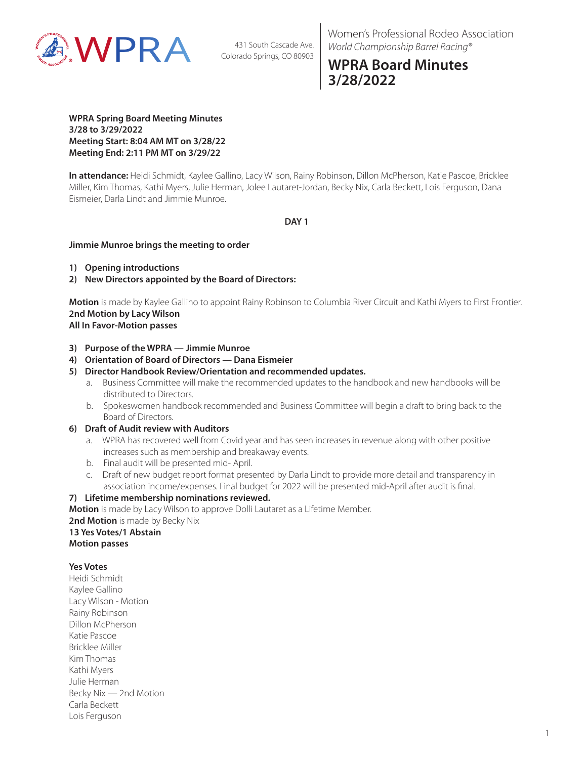

Women's Professional Rodeo Association *World Championship Barrel Racing®*

# **WPRA Board Minutes 3/28/2022**

**WPRA Spring Board Meeting Minutes 3/28 to 3/29/2022 Meeting Start: 8:04 AM MT on 3/28/22 Meeting End: 2:11 PM MT on 3/29/22**

**In attendance:** Heidi Schmidt, Kaylee Gallino, Lacy Wilson, Rainy Robinson, Dillon McPherson, Katie Pascoe, Bricklee Miller, Kim Thomas, Kathi Myers, Julie Herman, Jolee Lautaret-Jordan, Becky Nix, Carla Beckett, Lois Ferguson, Dana Eismeier, Darla Lindt and Jimmie Munroe.

# **DAY 1**

## **Jimmie Munroe brings the meeting to order**

- **1) Opening introductions**
- **2) New Directors appointed by the Board of Directors:**

**Motion** is made by Kaylee Gallino to appoint Rainy Robinson to Columbia River Circuit and Kathi Myers to First Frontier. **2nd Motion by Lacy Wilson**

# **All In Favor-Motion passes**

- **3) Purpose of the WPRA Jimmie Munroe**
- **4) Orientation of Board of Directors Dana Eismeier**
- **5) Director Handbook Review/Orientation and recommended updates.**
	- a. Business Committee will make the recommended updates to the handbook and new handbooks will be distributed to Directors.
	- b. Spokeswomen handbook recommended and Business Committee will begin a draft to bring back to the Board of Directors.

#### **6) Draft of Audit review with Auditors**

- a. WPRA has recovered well from Covid year and has seen increases in revenue along with other positive increases such as membership and breakaway events.
- b. Final audit will be presented mid- April.
- c. Draft of new budget report format presented by Darla Lindt to provide more detail and transparency in association income/expenses. Final budget for 2022 will be presented mid-April after audit is final.

# **7) Lifetime membership nominations reviewed.**

**Motion** is made by Lacy Wilson to approve Dolli Lautaret as a Lifetime Member.

**2nd Motion** is made by Becky Nix **13 Yes Votes/1 Abstain**

**Motion passes**

# **Yes Votes**

Heidi Schmidt Kaylee Gallino Lacy Wilson - Motion Rainy Robinson Dillon McPherson Katie Pascoe Bricklee Miller Kim Thomas Kathi Myers Julie Herman Becky Nix — 2nd Motion Carla Beckett Lois Ferguson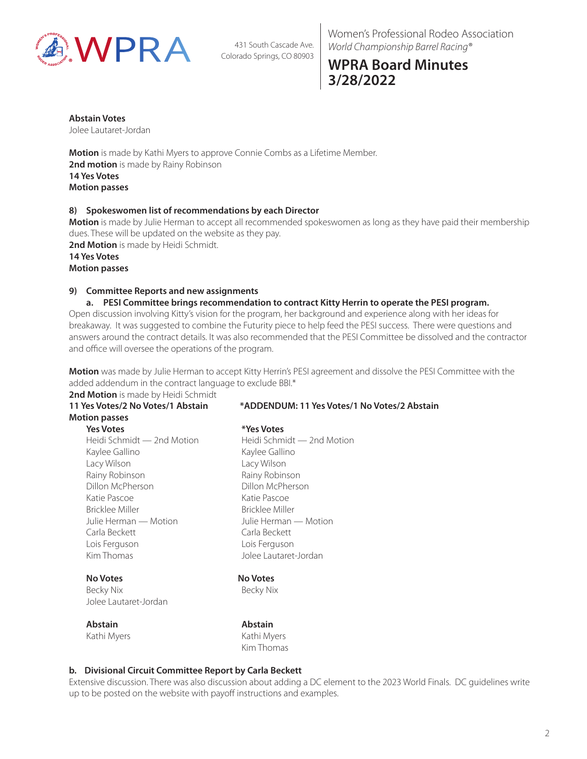

Women's Professional Rodeo Association *World Championship Barrel Racing®*

# **WPRA Board Minutes 3/28/2022**

#### **Abstain Votes**

Jolee Lautaret-Jordan

**Motion** is made by Kathi Myers to approve Connie Combs as a Lifetime Member. **2nd motion** is made by Rainy Robinson **14 Yes Votes Motion passes**

## **8) Spokeswomen list of recommendations by each Director**

**Motion** is made by Julie Herman to accept all recommended spokeswomen as long as they have paid their membership dues. These will be updated on the website as they pay.

**2nd Motion** is made by Heidi Schmidt.

**14 Yes Votes Motion passes**

# **9) Committee Reports and new assignments**

## **a. PESI Committee brings recommendation to contract Kitty Herrin to operate the PESI program.**

Open discussion involving Kitty's vision for the program, her background and experience along with her ideas for breakaway. It was suggested to combine the Futurity piece to help feed the PESI success. There were questions and answers around the contract details. It was also recommended that the PESI Committee be dissolved and the contractor and office will oversee the operations of the program.

**Motion** was made by Julie Herman to accept Kitty Herrin's PESI agreement and dissolve the PESI Committee with the added addendum in the contract language to exclude BBI.\*

#### 2nd Motion is made by Heidi Schmidt **11 Yes Votes/2 No Votes/1 Abstain \*ADDENDUM: 11 Yes Votes/1 No Votes/2 Abstain**

# **Motion passes**

**Yes Votes \*Yes Votes** Heidi Schmidt — 2nd Motion Heidi Schmidt — 2nd Motion Kaylee Gallino Kaylee Gallino Lacy Wilson Lacy Wilson Rainy Robinson **Raing Raing Robinson** Dillon McPherson Dillon McPherson Katie Pascoe Katie Pascoe Bricklee Miller Bricklee Miller Julie Herman — Motion Julie Herman — Motion Carla Beckett Carla Beckett Lois Ferguson Lois Ferguson Kim Thomas **Jolee Lautaret-Jordan** 

# **No Votes No Votes**

Becky Nix Becky Nix Jolee Lautaret-Jordan

**Abstain Abstain** Kathi Myers **Kathi Myers** Kathi Myers Kim Thomas

# **b. Divisional Circuit Committee Report by Carla Beckett**

Extensive discussion. There was also discussion about adding a DC element to the 2023 World Finals. DC guidelines write up to be posted on the website with payoff instructions and examples.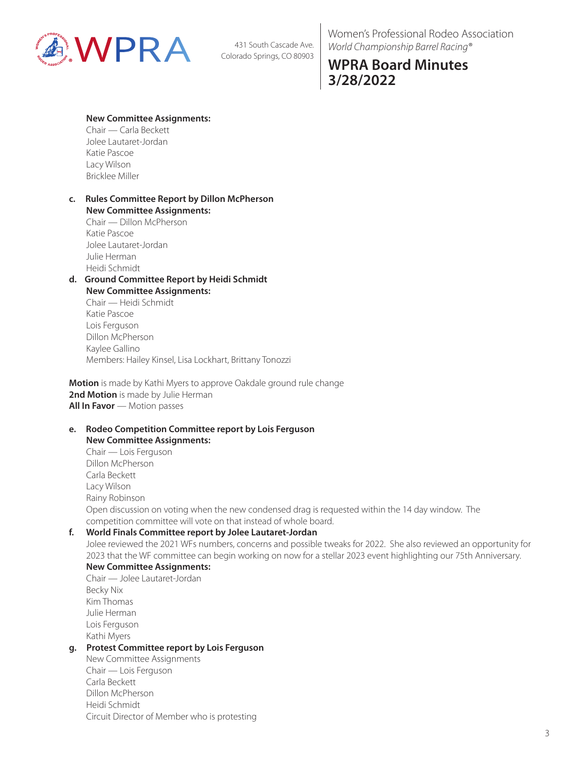

Women's Professional Rodeo Association *World Championship Barrel Racing®*

# **WPRA Board Minutes 3/28/2022**

## **New Committee Assignments:**

Chair — Carla Beckett Jolee Lautaret-Jordan Katie Pascoe Lacy Wilson Bricklee Miller

## **c. Rules Committee Report by Dillon McPherson New Committee Assignments:**

Chair — Dillon McPherson Katie Pascoe Jolee Lautaret-Jordan Julie Herman Heidi Schmidt

#### **d. Ground Committee Report by Heidi Schmidt New Committee Assignments:**

Chair — Heidi Schmidt Katie Pascoe Lois Ferguson Dillon McPherson Kaylee Gallino Members: Hailey Kinsel, Lisa Lockhart, Brittany Tonozzi

**Motion** is made by Kathi Myers to approve Oakdale ground rule change 2nd Motion is made by Julie Herman **All In Favor** — Motion passes

#### **e. Rodeo Competition Committee report by Lois Ferguson New Committee Assignments:**

Chair — Lois Ferguson Dillon McPherson Carla Beckett Lacy Wilson Rainy Robinson Open discussion on voting when the new condensed drag is requested within the 14 day window. The competition committee will vote on that instead of whole board.

# **f. World Finals Committee report by Jolee Lautaret-Jordan**

Jolee reviewed the 2021 WFs numbers, concerns and possible tweaks for 2022. She also reviewed an opportunity for 2023 that the WF committee can begin working on now for a stellar 2023 event highlighting our 75th Anniversary.

# **New Committee Assignments:**

Chair — Jolee Lautaret-Jordan Becky Nix Kim Thomas Julie Herman Lois Ferguson Kathi Myers

# **g. Protest Committee report by Lois Ferguson**

New Committee Assignments Chair — Lois Ferguson Carla Beckett Dillon McPherson Heidi Schmidt Circuit Director of Member who is protesting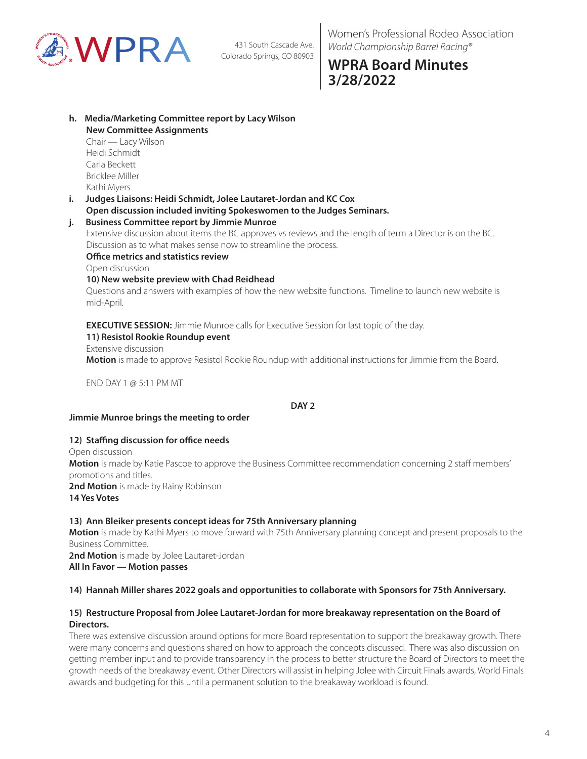

# **WPRA Board Minutes 3/28/2022**

#### **h. Media/Marketing Committee report by Lacy Wilson New Committee Assignments**

Chair — Lacy Wilson Heidi Schmidt Carla Beckett Bricklee Miller Kathi Myers

**i. Judges Liaisons: Heidi Schmidt, Jolee Lautaret-Jordan and KC Cox Open discussion included inviting Spokeswomen to the Judges Seminars.**

# **j. Business Committee report by Jimmie Munroe**

Extensive discussion about items the BC approves vs reviews and the length of term a Director is on the BC. Discussion as to what makes sense now to streamline the process.

## **Office metrics and statistics review**

Open discussion

# **10) New website preview with Chad Reidhead**

Questions and answers with examples of how the new website functions. Timeline to launch new website is mid-April.

**EXECUTIVE SESSION:** Jimmie Munroe calls for Executive Session for last topic of the day.

# **11) Resistol Rookie Roundup event**

Extensive discussion **Motion** is made to approve Resistol Rookie Roundup with additional instructions for Jimmie from the Board.

END DAY 1 @ 5:11 PM MT

## **DAY 2**

# **Jimmie Munroe brings the meeting to order**

# **12) Staffing discussion for office needs**

Open discussion **Motion** is made by Katie Pascoe to approve the Business Committee recommendation concerning 2 staff members' promotions and titles. 2nd Motion is made by Rainy Robinson **14 Yes Votes**

# **13) Ann Bleiker presents concept ideas for 75th Anniversary planning**

**Motion** is made by Kathi Myers to move forward with 75th Anniversary planning concept and present proposals to the Business Committee.

**2nd Motion** is made by Jolee Lautaret-Jordan **All In Favor — Motion passes**

# **14) Hannah Miller shares 2022 goals and opportunities to collaborate with Sponsors for 75th Anniversary.**

## **15) Restructure Proposal from Jolee Lautaret-Jordan for more breakaway representation on the Board of Directors.**

There was extensive discussion around options for more Board representation to support the breakaway growth. There were many concerns and questions shared on how to approach the concepts discussed. There was also discussion on getting member input and to provide transparency in the process to better structure the Board of Directors to meet the growth needs of the breakaway event. Other Directors will assist in helping Jolee with Circuit Finals awards, World Finals awards and budgeting for this until a permanent solution to the breakaway workload is found.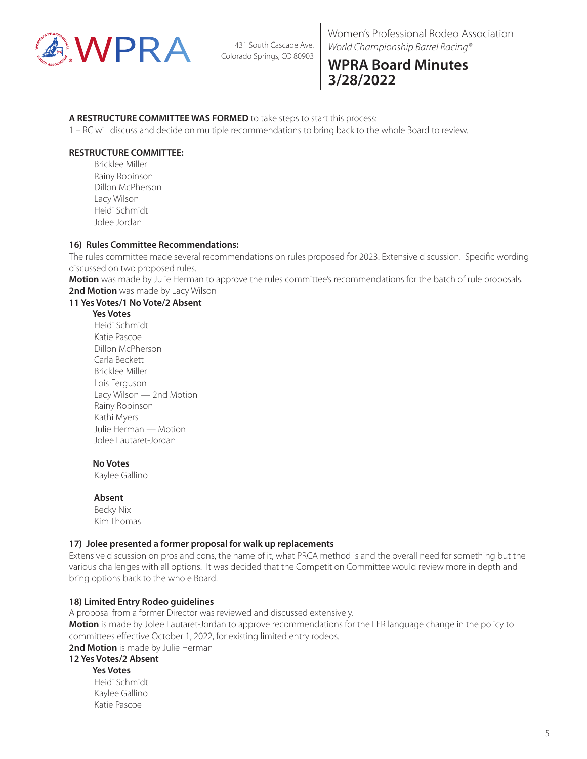

# **WPRA Board Minutes 3/28/2022**

## **A RESTRUCTURE COMMITTEE WAS FORMED** to take steps to start this process:

1 – RC will discuss and decide on multiple recommendations to bring back to the whole Board to review.

# **RESTRUCTURE COMMITTEE:**

 Bricklee Miller Rainy Robinson Dillon McPherson Lacy Wilson Heidi Schmidt Jolee Jordan

## **16) Rules Committee Recommendations:**

The rules committee made several recommendations on rules proposed for 2023. Extensive discussion. Specific wording discussed on two proposed rules.

**Motion** was made by Julie Herman to approve the rules committee's recommendations for the batch of rule proposals. 2nd Motion was made by Lacy Wilson

## **11 Yes Votes/1 No Vote/2 Absent**

#### **Yes Votes**

 Heidi Schmidt Katie Pascoe Dillon McPherson Carla Beckett Bricklee Miller Lois Ferguson Lacy Wilson — 2nd Motion Rainy Robinson Kathi Myers Julie Herman — Motion Jolee Lautaret-Jordan

#### **No Votes**

Kaylee Gallino

#### **Absent**

 Becky Nix Kim Thomas

#### **17) Jolee presented a former proposal for walk up replacements**

Extensive discussion on pros and cons, the name of it, what PRCA method is and the overall need for something but the various challenges with all options. It was decided that the Competition Committee would review more in depth and bring options back to the whole Board.

#### **18) Limited Entry Rodeo guidelines**

A proposal from a former Director was reviewed and discussed extensively. **Motion** is made by Jolee Lautaret-Jordan to approve recommendations for the LER language change in the policy to committees effective October 1, 2022, for existing limited entry rodeos. 2nd Motion is made by Julie Herman

## **12 Yes Votes/2 Absent**

 **Yes Votes** Heidi Schmidt Kaylee Gallino Katie Pascoe